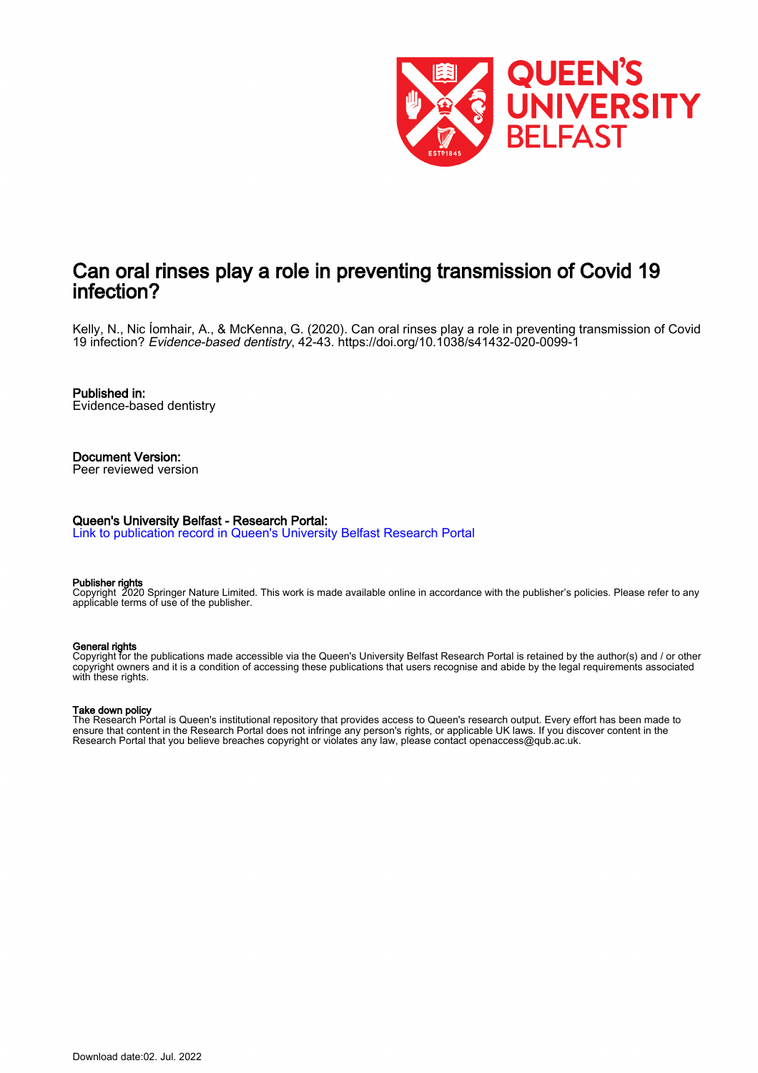

# Can oral rinses play a role in preventing transmission of Covid 19 infection?

Kelly, N., Nic Íomhair, A., & McKenna, G. (2020). Can oral rinses play a role in preventing transmission of Covid 19 infection? Evidence-based dentistry, 42-43.<https://doi.org/10.1038/s41432-020-0099-1>

Published in: Evidence-based dentistry

Document Version: Peer reviewed version

#### Queen's University Belfast - Research Portal:

[Link to publication record in Queen's University Belfast Research Portal](https://pure.qub.ac.uk/en/publications/c311c2ab-0dc9-4654-8120-8fc5393acabb)

#### Publisher rights

Copyright 2020 Springer Nature Limited. This work is made available online in accordance with the publisher's policies. Please refer to any applicable terms of use of the publisher.

#### General rights

Copyright for the publications made accessible via the Queen's University Belfast Research Portal is retained by the author(s) and / or other copyright owners and it is a condition of accessing these publications that users recognise and abide by the legal requirements associated with these rights.

#### Take down policy

The Research Portal is Queen's institutional repository that provides access to Queen's research output. Every effort has been made to ensure that content in the Research Portal does not infringe any person's rights, or applicable UK laws. If you discover content in the Research Portal that you believe breaches copyright or violates any law, please contact openaccess@qub.ac.uk.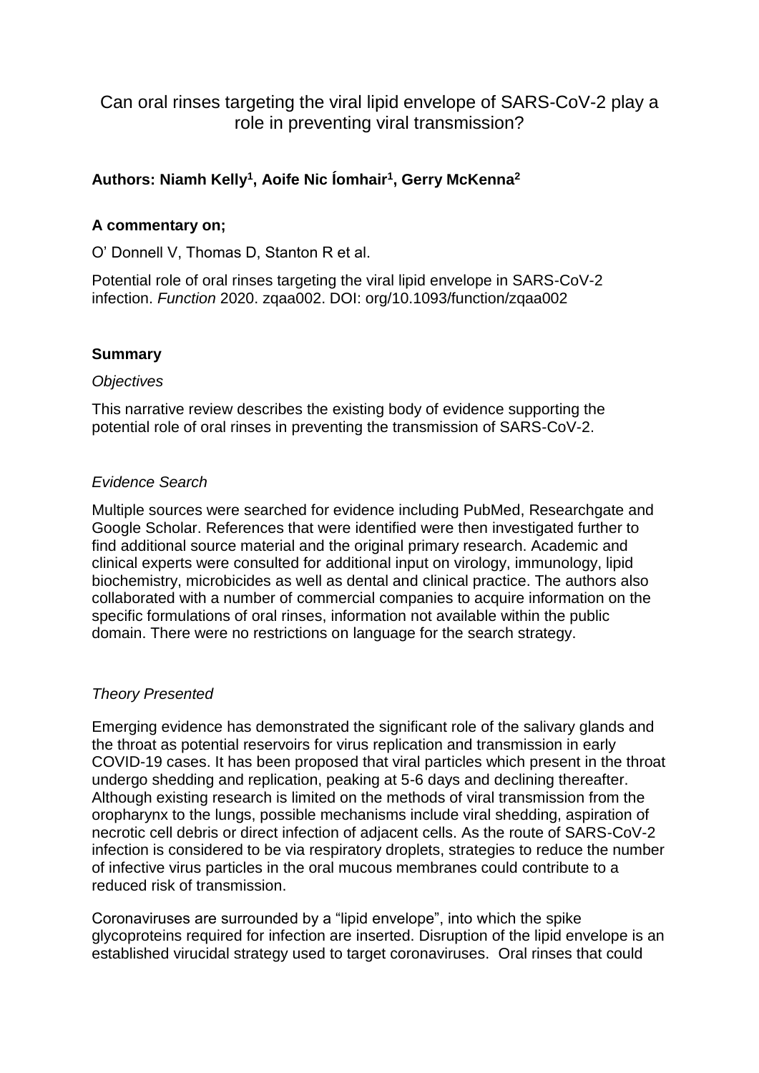Can oral rinses targeting the viral lipid envelope of SARS-CoV-2 play a role in preventing viral transmission?

# **Authors: Niamh Kelly<sup>1</sup> , Aoife Nic Íomhair<sup>1</sup> , Gerry McKenna<sup>2</sup>**

## **A commentary on;**

O' Donnell V, Thomas D, Stanton R et al.

Potential role of oral rinses targeting the viral lipid envelope in SARS-CoV-2 infection. *Function* 2020. zqaa002. DOI: org/10.1093/function/zqaa002

### **Summary**

### *Objectives*

This narrative review describes the existing body of evidence supporting the potential role of oral rinses in preventing the transmission of SARS-CoV-2.

### *Evidence Search*

Multiple sources were searched for evidence including PubMed, Researchgate and Google Scholar. References that were identified were then investigated further to find additional source material and the original primary research. Academic and clinical experts were consulted for additional input on virology, immunology, lipid biochemistry, microbicides as well as dental and clinical practice. The authors also collaborated with a number of commercial companies to acquire information on the specific formulations of oral rinses, information not available within the public domain. There were no restrictions on language for the search strategy.

## *Theory Presented*

Emerging evidence has demonstrated the significant role of the salivary glands and the throat as potential reservoirs for virus replication and transmission in early COVID-19 cases. It has been proposed that viral particles which present in the throat undergo shedding and replication, peaking at 5-6 days and declining thereafter. Although existing research is limited on the methods of viral transmission from the oropharynx to the lungs, possible mechanisms include viral shedding, aspiration of necrotic cell debris or direct infection of adjacent cells. As the route of SARS-CoV-2 infection is considered to be via respiratory droplets, strategies to reduce the number of infective virus particles in the oral mucous membranes could contribute to a reduced risk of transmission.

Coronaviruses are surrounded by a "lipid envelope", into which the spike glycoproteins required for infection are inserted. Disruption of the lipid envelope is an established virucidal strategy used to target coronaviruses. Oral rinses that could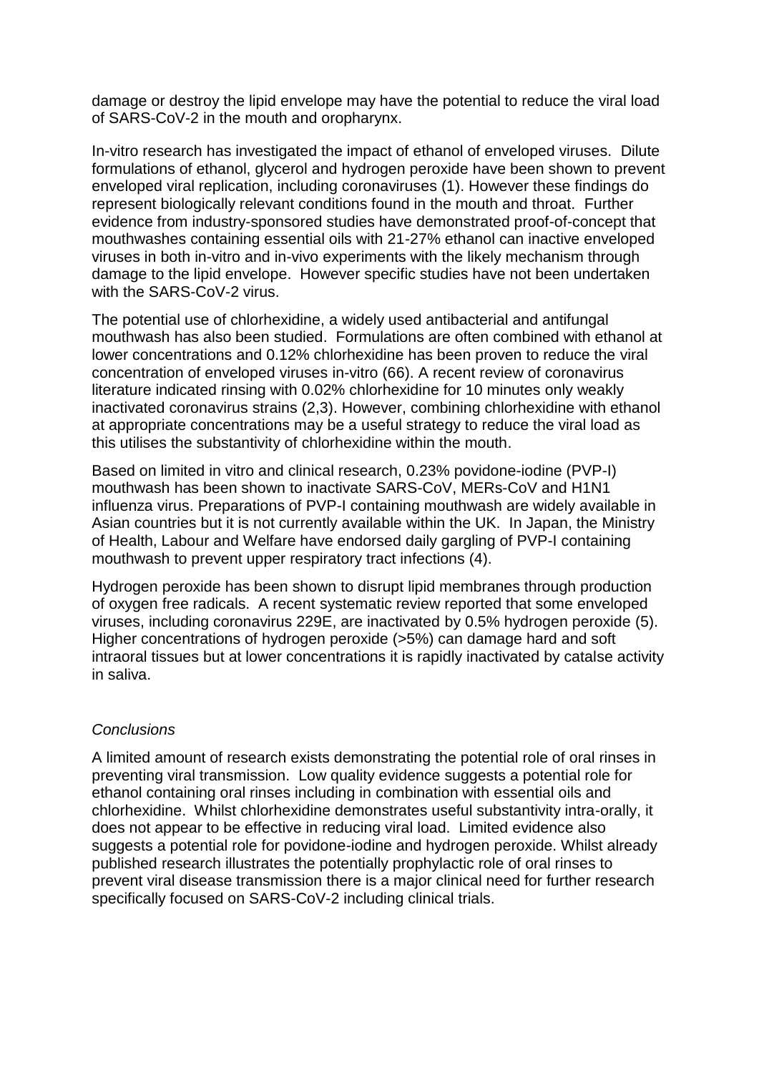damage or destroy the lipid envelope may have the potential to reduce the viral load of SARS-CoV-2 in the mouth and oropharynx.

In-vitro research has investigated the impact of ethanol of enveloped viruses. Dilute formulations of ethanol, glycerol and hydrogen peroxide have been shown to prevent enveloped viral replication, including coronaviruses (1). However these findings do represent biologically relevant conditions found in the mouth and throat. Further evidence from industry-sponsored studies have demonstrated proof-of-concept that mouthwashes containing essential oils with 21-27% ethanol can inactive enveloped viruses in both in-vitro and in-vivo experiments with the likely mechanism through damage to the lipid envelope. However specific studies have not been undertaken with the SARS-CoV-2 virus.

The potential use of chlorhexidine, a widely used antibacterial and antifungal mouthwash has also been studied. Formulations are often combined with ethanol at lower concentrations and 0.12% chlorhexidine has been proven to reduce the viral concentration of enveloped viruses in-vitro (66). A recent review of coronavirus literature indicated rinsing with 0.02% chlorhexidine for 10 minutes only weakly inactivated coronavirus strains (2,3). However, combining chlorhexidine with ethanol at appropriate concentrations may be a useful strategy to reduce the viral load as this utilises the substantivity of chlorhexidine within the mouth.

Based on limited in vitro and clinical research, 0.23% povidone-iodine (PVP-I) mouthwash has been shown to inactivate SARS-CoV, MERs-CoV and H1N1 influenza virus. Preparations of PVP-I containing mouthwash are widely available in Asian countries but it is not currently available within the UK. In Japan, the Ministry of Health, Labour and Welfare have endorsed daily gargling of PVP-I containing mouthwash to prevent upper respiratory tract infections (4).

Hydrogen peroxide has been shown to disrupt lipid membranes through production of oxygen free radicals. A recent systematic review reported that some enveloped viruses, including coronavirus 229E, are inactivated by 0.5% hydrogen peroxide (5). Higher concentrations of hydrogen peroxide (>5%) can damage hard and soft intraoral tissues but at lower concentrations it is rapidly inactivated by catalse activity in saliva.

## *Conclusions*

A limited amount of research exists demonstrating the potential role of oral rinses in preventing viral transmission. Low quality evidence suggests a potential role for ethanol containing oral rinses including in combination with essential oils and chlorhexidine. Whilst chlorhexidine demonstrates useful substantivity intra-orally, it does not appear to be effective in reducing viral load. Limited evidence also suggests a potential role for povidone-iodine and hydrogen peroxide. Whilst already published research illustrates the potentially prophylactic role of oral rinses to prevent viral disease transmission there is a major clinical need for further research specifically focused on SARS-CoV-2 including clinical trials.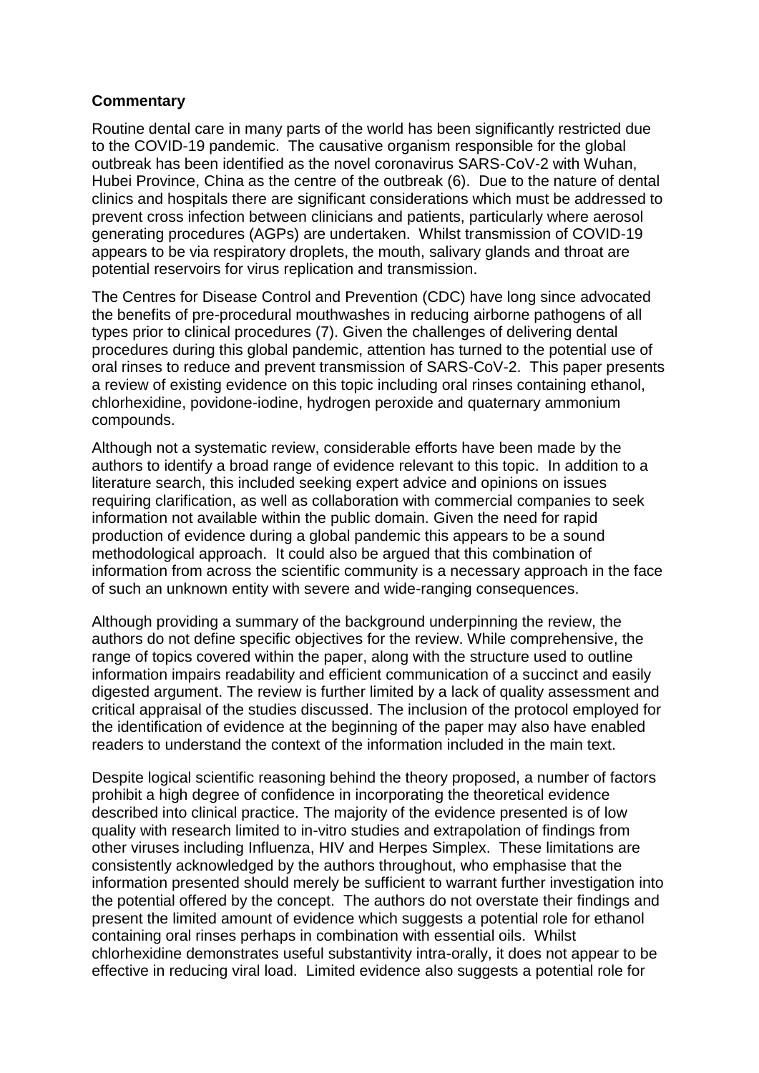## **Commentary**

Routine dental care in many parts of the world has been significantly restricted due to the COVID-19 pandemic. The causative organism responsible for the global outbreak has been identified as the novel coronavirus SARS-CoV-2 with Wuhan, Hubei Province, China as the centre of the outbreak (6). Due to the nature of dental clinics and hospitals there are significant considerations which must be addressed to prevent cross infection between clinicians and patients, particularly where aerosol generating procedures (AGPs) are undertaken. Whilst transmission of COVID-19 appears to be via respiratory droplets, the mouth, salivary glands and throat are potential reservoirs for virus replication and transmission.

The Centres for Disease Control and Prevention (CDC) have long since advocated the benefits of pre-procedural mouthwashes in reducing airborne pathogens of all types prior to clinical procedures (7). Given the challenges of delivering dental procedures during this global pandemic, attention has turned to the potential use of oral rinses to reduce and prevent transmission of SARS-CoV-2. This paper presents a review of existing evidence on this topic including oral rinses containing ethanol, chlorhexidine, povidone-iodine, hydrogen peroxide and quaternary ammonium compounds.

Although not a systematic review, considerable efforts have been made by the authors to identify a broad range of evidence relevant to this topic. In addition to a literature search, this included seeking expert advice and opinions on issues requiring clarification, as well as collaboration with commercial companies to seek information not available within the public domain. Given the need for rapid production of evidence during a global pandemic this appears to be a sound methodological approach. It could also be argued that this combination of information from across the scientific community is a necessary approach in the face of such an unknown entity with severe and wide-ranging consequences.

Although providing a summary of the background underpinning the review, the authors do not define specific objectives for the review. While comprehensive, the range of topics covered within the paper, along with the structure used to outline information impairs readability and efficient communication of a succinct and easily digested argument. The review is further limited by a lack of quality assessment and critical appraisal of the studies discussed. The inclusion of the protocol employed for the identification of evidence at the beginning of the paper may also have enabled readers to understand the context of the information included in the main text.

Despite logical scientific reasoning behind the theory proposed, a number of factors prohibit a high degree of confidence in incorporating the theoretical evidence described into clinical practice. The majority of the evidence presented is of low quality with research limited to in-vitro studies and extrapolation of findings from other viruses including Influenza, HIV and Herpes Simplex. These limitations are consistently acknowledged by the authors throughout, who emphasise that the information presented should merely be sufficient to warrant further investigation into the potential offered by the concept. The authors do not overstate their findings and present the limited amount of evidence which suggests a potential role for ethanol containing oral rinses perhaps in combination with essential oils. Whilst chlorhexidine demonstrates useful substantivity intra-orally, it does not appear to be effective in reducing viral load. Limited evidence also suggests a potential role for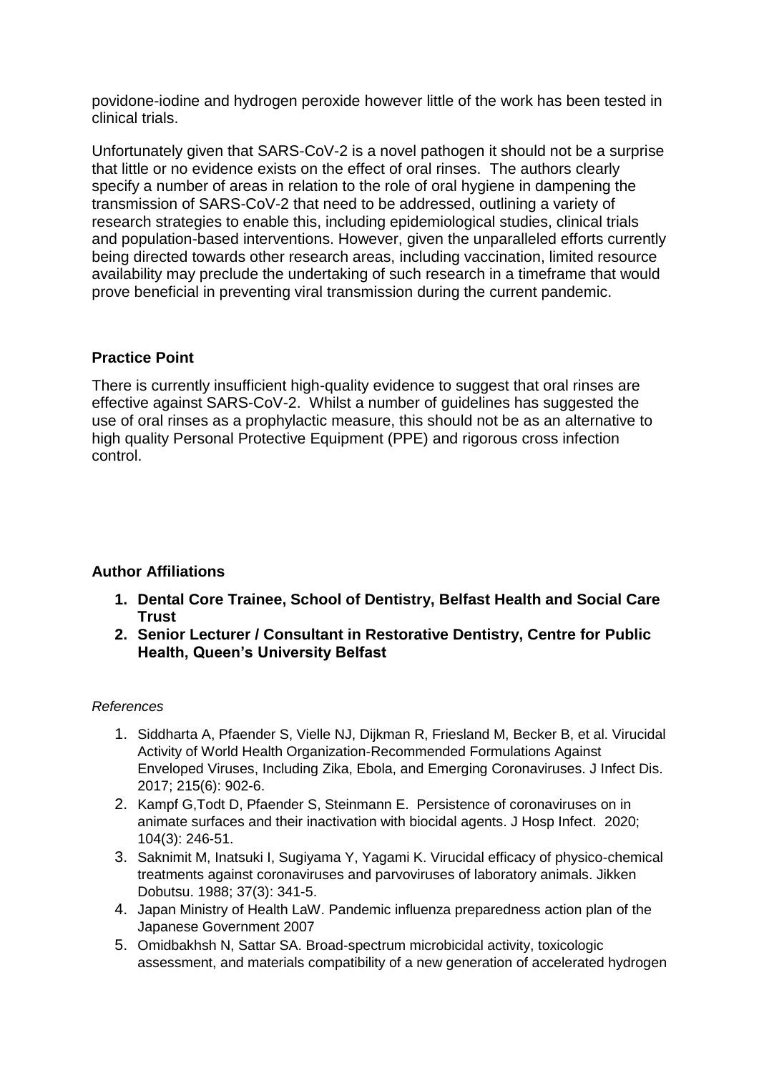povidone-iodine and hydrogen peroxide however little of the work has been tested in clinical trials.

Unfortunately given that SARS-CoV-2 is a novel pathogen it should not be a surprise that little or no evidence exists on the effect of oral rinses. The authors clearly specify a number of areas in relation to the role of oral hygiene in dampening the transmission of SARS-CoV-2 that need to be addressed, outlining a variety of research strategies to enable this, including epidemiological studies, clinical trials and population-based interventions. However, given the unparalleled efforts currently being directed towards other research areas, including vaccination, limited resource availability may preclude the undertaking of such research in a timeframe that would prove beneficial in preventing viral transmission during the current pandemic.

## **Practice Point**

There is currently insufficient high-quality evidence to suggest that oral rinses are effective against SARS-CoV-2. Whilst a number of guidelines has suggested the use of oral rinses as a prophylactic measure, this should not be as an alternative to high quality Personal Protective Equipment (PPE) and rigorous cross infection control.

## **Author Affiliations**

- **1. Dental Core Trainee, School of Dentistry, Belfast Health and Social Care Trust**
- **2. Senior Lecturer / Consultant in Restorative Dentistry, Centre for Public Health, Queen's University Belfast**

### *References*

- 1. Siddharta A, Pfaender S, Vielle NJ, Dijkman R, Friesland M, Becker B, et al. Virucidal Activity of World Health Organization-Recommended Formulations Against Enveloped Viruses, Including Zika, Ebola, and Emerging Coronaviruses. J Infect Dis. 2017; 215(6): 902-6.
- 2. Kampf G,Todt D, Pfaender S, Steinmann E. Persistence of coronaviruses on in animate surfaces and their inactivation with biocidal agents. J Hosp Infect. 2020; 104(3): 246-51.
- 3. Saknimit M, Inatsuki I, Sugiyama Y, Yagami K. Virucidal efficacy of physico-chemical treatments against coronaviruses and parvoviruses of laboratory animals. Jikken Dobutsu. 1988; 37(3): 341-5.
- 4. Japan Ministry of Health LaW. Pandemic influenza preparedness action plan of the Japanese Government 2007
- 5. Omidbakhsh N, Sattar SA. Broad-spectrum microbicidal activity, toxicologic assessment, and materials compatibility of a new generation of accelerated hydrogen